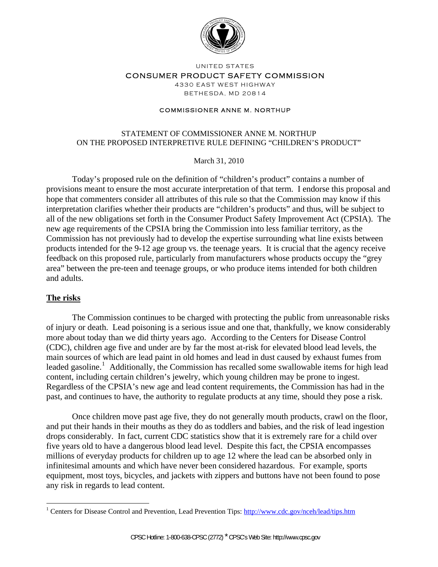

UNITED STATES

#### CONSUMER PRODUCT SAFETY COMMISSION

4330 EAST WEST HIGHWAY BETHESDA, MD 20814

#### COMMISSIONER ANNE M. NORTHUP

### STATEMENT OF COMMISSIONER ANNE M. NORTHUP ON THE PROPOSED INTERPRETIVE RULE DEFINING "CHILDREN'S PRODUCT"

March 31, 2010

Today's proposed rule on the definition of "children's product" contains a number of provisions meant to ensure the most accurate interpretation of that term. I endorse this proposal and hope that commenters consider all attributes of this rule so that the Commission may know if this interpretation clarifies whether their products are "children's products" and thus, will be subject to all of the new obligations set forth in the Consumer Product Safety Improvement Act (CPSIA). The new age requirements of the CPSIA bring the Commission into less familiar territory, as the Commission has not previously had to develop the expertise surrounding what line exists between products intended for the 9-12 age group vs. the teenage years. It is crucial that the agency receive feedback on this proposed rule, particularly from manufacturers whose products occupy the "grey area" between the pre-teen and teenage groups, or who produce items intended for both children and adults.

#### **The risks**

 $\overline{a}$ 

The Commission continues to be charged with protecting the public from unreasonable risks of injury or death. Lead poisoning is a serious issue and one that, thankfully, we know considerably more about today than we did thirty years ago. According to the Centers for Disease Control (CDC), children age five and under are by far the most at-risk for elevated blood lead levels, the main sources of which are lead paint in old homes and lead in dust caused by exhaust fumes from leaded gasoline.<sup>[1](#page-0-0)</sup> Additionally, the Commission has recalled some swallowable items for high lead content, including certain children's jewelry, which young children may be prone to ingest. Regardless of the CPSIA's new age and lead content requirements, the Commission has had in the past, and continues to have, the authority to regulate products at any time, should they pose a risk.

Once children move past age five, they do not generally mouth products, crawl on the floor, and put their hands in their mouths as they do as toddlers and babies, and the risk of lead ingestion drops considerably. In fact, current CDC statistics show that it is extremely rare for a child over five years old to have a dangerous blood lead level. Despite this fact, the CPSIA encompasses millions of everyday products for children up to age 12 where the lead can be absorbed only in infinitesimal amounts and which have never been considered hazardous. For example, sports equipment, most toys, bicycles, and jackets with zippers and buttons have not been found to pose any risk in regards to lead content.

<span id="page-0-0"></span><sup>&</sup>lt;sup>1</sup> Centers for Disease Control and Prevention, Lead Prevention Tips: http://www.cdc.gov/nceh/lead/tips.htm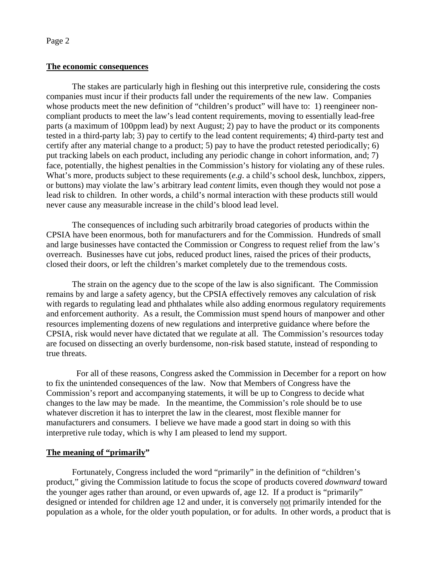### **The economic consequences**

The stakes are particularly high in fleshing out this interpretive rule, considering the costs companies must incur if their products fall under the requirements of the new law. Companies whose products meet the new definition of "children's product" will have to: 1) reengineer noncompliant products to meet the law's lead content requirements, moving to essentially lead-free parts (a maximum of 100ppm lead) by next August; 2) pay to have the product or its components tested in a third-party lab; 3) pay to certify to the lead content requirements; 4) third-party test and certify after any material change to a product; 5) pay to have the product retested periodically; 6) put tracking labels on each product, including any periodic change in cohort information, and; 7) face, potentially, the highest penalties in the Commission's history for violating any of these rules. What's more, products subject to these requirements (*e.g.* a child's school desk, lunchbox, zippers, or buttons) may violate the law's arbitrary lead *content* limits, even though they would not pose a lead risk to children. In other words, a child's normal interaction with these products still would never cause any measurable increase in the child's blood lead level.

The consequences of including such arbitrarily broad categories of products within the CPSIA have been enormous, both for manufacturers and for the Commission. Hundreds of small and large businesses have contacted the Commission or Congress to request relief from the law's overreach. Businesses have cut jobs, reduced product lines, raised the prices of their products, closed their doors, or left the children's market completely due to the tremendous costs.

The strain on the agency due to the scope of the law is also significant. The Commission remains by and large a safety agency, but the CPSIA effectively removes any calculation of risk with regards to regulating lead and phthalates while also adding enormous regulatory requirements and enforcement authority. As a result, the Commission must spend hours of manpower and other resources implementing dozens of new regulations and interpretive guidance where before the CPSIA, risk would never have dictated that we regulate at all. The Commission's resources today are focused on dissecting an overly burdensome, non-risk based statute, instead of responding to true threats.

 For all of these reasons, Congress asked the Commission in December for a report on how to fix the unintended consequences of the law. Now that Members of Congress have the Commission's report and accompanying statements, it will be up to Congress to decide what changes to the law may be made. In the meantime, the Commission's role should be to use whatever discretion it has to interpret the law in the clearest, most flexible manner for manufacturers and consumers. I believe we have made a good start in doing so with this interpretive rule today, which is why I am pleased to lend my support.

# **The meaning of "primarily"**

Fortunately, Congress included the word "primarily" in the definition of "children's product," giving the Commission latitude to focus the scope of products covered *downward* toward the younger ages rather than around, or even upwards of, age 12. If a product is "primarily" designed or intended for children age 12 and under, it is conversely not primarily intended for the population as a whole, for the older youth population, or for adults. In other words, a product that is